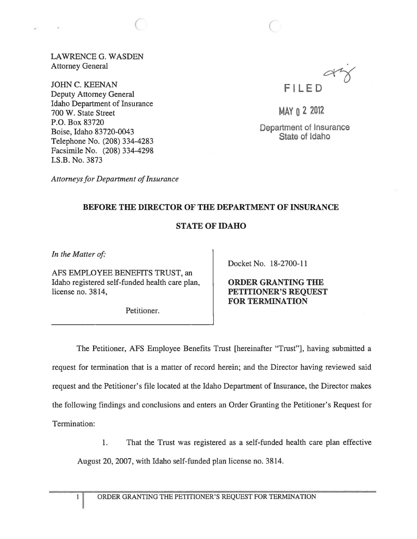LAWRENCE G. WASDEN Attorney General

 $\big($ 

JOHN C. KEENAN Deputy Attorney General Idaho Department of Insurance 700 W. State Street P.O. Box 83720 Boise, Idaho 83720-0043 Telephone No. (208) 334-4283 Facsimile No. (208) 334-4298 I.S.B. No. 3873

**FILED**  $a\dot{v}$ 

MAY 0 2 2012

Department of Insurance State of Idaho

*Attorneys for Department of Insurance* 

## BEFORE THE DIRECTOR OF THE DEPARTMENT OF INSURANCE

## STATE OF IDAHO

In the Matter of:

 $\mathbf{1}$ 

AFS EMPLOYEE BENEFITS TRUST, an Idaho registered self-funded health care plan, license no. 3814,

Petitioner.

Docket No. 18-2700-11

ORDER GRANTING THE PETITIONER'S REQUEST FOR TERMINATION

The Petitioner, AFS Employee Benefits Trust [hereinafter "Trust"], having submitted a request for termination that is a matter of record herein; and the Director having reviewed said request and the Petitioner's file located at the Idaho Department of Insurance, the Director makes the following findings and conclusions and enters an Order Granting the Petitioner's Request for Termination:

1. That the Trust was registered as a self-funded health care plan effective

August 20,2007, with Idaho self-funded plan license no. 3814.